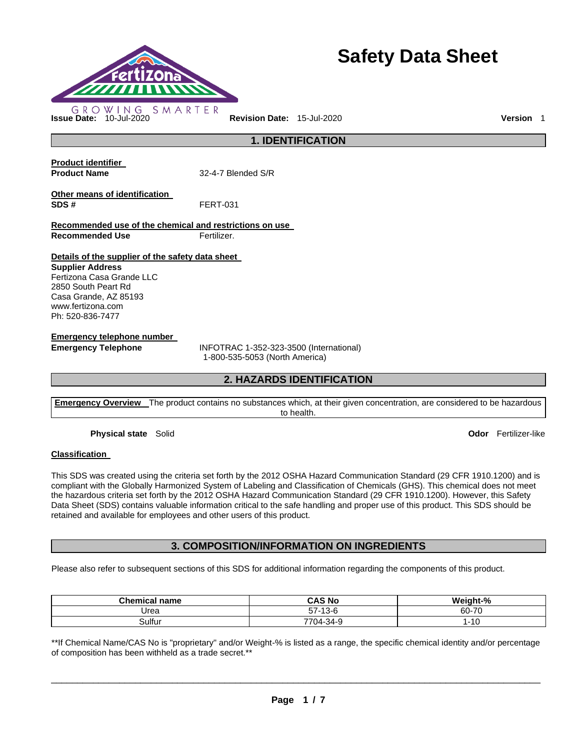

# **Safety Data Sheet**

**1. IDENTIFICATION Product identifier Product Name** 32-4-7 Blended S/R **Other means of identification SDS #** FERT-031 **Recommended use of the chemical and restrictions on use Recommended Use Fertilizer. Details of the supplier of the safety data sheet Supplier Address** Fertizona Casa Grande LLC 2850 South Peart Rd Casa Grande, AZ 85193 www.fertizona.com Ph: 520-836-7477 **Emergency telephone number Emergency Telephone** INFOTRAC 1-352-323-3500 (International) 1-800-535-5053 (North America)

# **2. HAZARDS IDENTIFICATION**

**Emergency Overview** The product contains no substances which, at their given concentration, are considered to be hazardous to health.

**Physical state** Solid **Odor** Fertilizer-like

#### **Classification**

This SDS was created using the criteria set forth by the 2012 OSHA Hazard Communication Standard (29 CFR 1910.1200) and is compliant with the Globally Harmonized System of Labeling and Classification of Chemicals (GHS). This chemical does not meet the hazardous criteria set forth by the 2012 OSHA Hazard Communication Standard (29 CFR 1910.1200). However, this Safety Data Sheet (SDS) contains valuable information critical to the safe handling and proper use of this product. This SDS should be retained and available for employees and other users of this product.

## **3. COMPOSITION/INFORMATION ON INGREDIENTS**

Please also refer to subsequent sections of this SDS for additional information regarding the components of this product.

| <b>Chemical name</b> | <b>CAS No</b> | Weight-%                   |
|----------------------|---------------|----------------------------|
| Urea                 | $57-13-6$     | 60-70                      |
| Sulfur               | 7704-34-9     | $\overline{10}$<br>' - I U |

\*\*If Chemical Name/CAS No is "proprietary" and/or Weight-% is listed as a range, the specific chemical identity and/or percentage of composition has been withheld as a trade secret.\*\*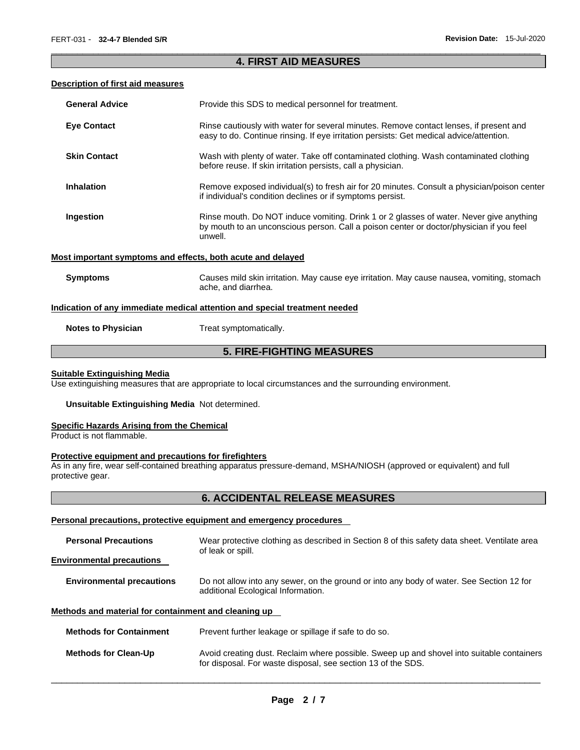## \_\_\_\_\_\_\_\_\_\_\_\_\_\_\_\_\_\_\_\_\_\_\_\_\_\_\_\_\_\_\_\_\_\_\_\_\_\_\_\_\_\_\_\_\_\_\_\_\_\_\_\_\_\_\_\_\_\_\_\_\_\_\_\_\_\_\_\_\_\_\_\_\_\_\_\_\_\_\_\_\_\_\_\_\_\_\_\_\_\_\_\_\_ **4. FIRST AID MEASURES**

#### **Description of first aid measures**

| <b>General Advice</b>                                                      | Provide this SDS to medical personnel for treatment.                                                                                                                                          |  |  |  |
|----------------------------------------------------------------------------|-----------------------------------------------------------------------------------------------------------------------------------------------------------------------------------------------|--|--|--|
| <b>Eye Contact</b>                                                         | Rinse cautiously with water for several minutes. Remove contact lenses, if present and<br>easy to do. Continue rinsing. If eye irritation persists: Get medical advice/attention.             |  |  |  |
| <b>Skin Contact</b>                                                        | Wash with plenty of water. Take off contaminated clothing. Wash contaminated clothing<br>before reuse. If skin irritation persists, call a physician.                                         |  |  |  |
| <b>Inhalation</b>                                                          | Remove exposed individual(s) to fresh air for 20 minutes. Consult a physician/poison center<br>if individual's condition declines or if symptoms persist.                                     |  |  |  |
| Ingestion                                                                  | Rinse mouth. Do NOT induce vomiting. Drink 1 or 2 glasses of water. Never give anything<br>by mouth to an unconscious person. Call a poison center or doctor/physician if you feel<br>unwell. |  |  |  |
|                                                                            | Most important symptoms and effects, both acute and delayed                                                                                                                                   |  |  |  |
| <b>Symptoms</b>                                                            | Causes mild skin irritation. May cause eye irritation. May cause nausea, vomiting, stomach<br>ache, and diarrhea.                                                                             |  |  |  |
| Indication of any immediate medical attention and special treatment needed |                                                                                                                                                                                               |  |  |  |
|                                                                            |                                                                                                                                                                                               |  |  |  |

**Notes to Physician Treat symptomatically.** 

# **5. FIRE-FIGHTING MEASURES**

#### **Suitable Extinguishing Media**

Use extinguishing measures that are appropriate to local circumstances and the surrounding environment.

**Unsuitable Extinguishing Media** Not determined.

#### **Specific Hazards Arising from the Chemical**

Product is not flammable.

# **Protective equipment and precautions for firefighters**

As in any fire, wear self-contained breathing apparatus pressure-demand, MSHA/NIOSH (approved or equivalent) and full protective gear.

## **6. ACCIDENTAL RELEASE MEASURES**

## **Personal precautions, protective equipment and emergency procedures**

| <b>Personal Precautions</b>                          | Wear protective clothing as described in Section 8 of this safety data sheet. Ventilate area<br>of leak or spill.                                         |  |  |  |
|------------------------------------------------------|-----------------------------------------------------------------------------------------------------------------------------------------------------------|--|--|--|
| <b>Environmental precautions</b>                     |                                                                                                                                                           |  |  |  |
| <b>Environmental precautions</b>                     | Do not allow into any sewer, on the ground or into any body of water. See Section 12 for<br>additional Ecological Information.                            |  |  |  |
| Methods and material for containment and cleaning up |                                                                                                                                                           |  |  |  |
| <b>Methods for Containment</b>                       | Prevent further leakage or spillage if safe to do so.                                                                                                     |  |  |  |
| <b>Methods for Clean-Up</b>                          | Avoid creating dust. Reclaim where possible. Sweep up and shovel into suitable containers<br>for disposal. For waste disposal, see section 13 of the SDS. |  |  |  |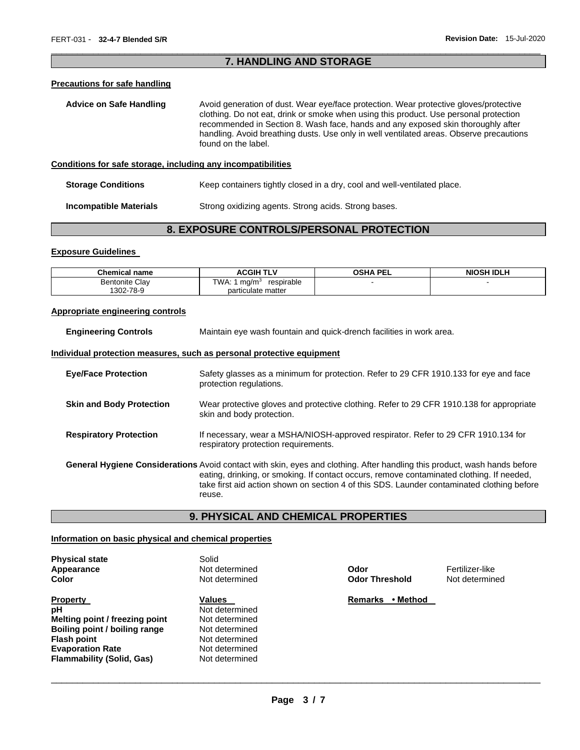## \_\_\_\_\_\_\_\_\_\_\_\_\_\_\_\_\_\_\_\_\_\_\_\_\_\_\_\_\_\_\_\_\_\_\_\_\_\_\_\_\_\_\_\_\_\_\_\_\_\_\_\_\_\_\_\_\_\_\_\_\_\_\_\_\_\_\_\_\_\_\_\_\_\_\_\_\_\_\_\_\_\_\_\_\_\_\_\_\_\_\_\_\_ **7. HANDLING AND STORAGE**

## **Precautions for safe handling**

| <b>Advice on Safe Handling</b>                               | Avoid generation of dust. Wear eye/face protection. Wear protective gloves/protective<br>clothing. Do not eat, drink or smoke when using this product. Use personal protection<br>recommended in Section 8. Wash face, hands and any exposed skin thoroughly after<br>handling. Avoid breathing dusts. Use only in well ventilated areas. Observe precautions<br>found on the label. |
|--------------------------------------------------------------|--------------------------------------------------------------------------------------------------------------------------------------------------------------------------------------------------------------------------------------------------------------------------------------------------------------------------------------------------------------------------------------|
| Conditions for safe storage, including any incompatibilities |                                                                                                                                                                                                                                                                                                                                                                                      |

#### **Storage Conditions Keep containers tightly closed in a dry, cool and well-ventilated place.**

**Incompatible Materials Strong oxidizing agents. Strong acids. Strong bases.** 

# **8. EXPOSURE CONTROLS/PERSONAL PROTECTION**

#### **Exposure Guidelines**

| <b>Chemical name</b>  | TLV<br><b>ACGIH</b>                     | <b>OSHA PEI</b><br>. | <b>NIOSH IDLH</b> |
|-----------------------|-----------------------------------------|----------------------|-------------------|
| <b>Bentonite Clav</b> | TWA:<br>respirable<br>ma/m <sup>3</sup> |                      |                   |
| 1302-78-9             | particulate matter                      |                      |                   |

#### **Appropriate engineering controls**

| <b>Engineering Controls</b>     | Maintain eye wash fountain and quick-drench facilities in work area.                                                                                                                                                                                                                                                                  |  |  |
|---------------------------------|---------------------------------------------------------------------------------------------------------------------------------------------------------------------------------------------------------------------------------------------------------------------------------------------------------------------------------------|--|--|
|                                 | <u>Individual protection measures, such as personal protective equipment</u>                                                                                                                                                                                                                                                          |  |  |
| <b>Eve/Face Protection</b>      | Safety glasses as a minimum for protection. Refer to 29 CFR 1910.133 for eye and face<br>protection regulations.                                                                                                                                                                                                                      |  |  |
| <b>Skin and Body Protection</b> | Wear protective gloves and protective clothing. Refer to 29 CFR 1910.138 for appropriate<br>skin and body protection.                                                                                                                                                                                                                 |  |  |
| <b>Respiratory Protection</b>   | If necessary, wear a MSHA/NIOSH-approved respirator. Refer to 29 CFR 1910.134 for<br>respiratory protection requirements.                                                                                                                                                                                                             |  |  |
|                                 | <b>General Hygiene Considerations</b> Avoid contact with skin, eyes and clothing. After handling this product, wash hands before<br>eating, drinking, or smoking. If contact occurs, remove contaminated clothing. If needed,<br>take first aid action shown on section 4 of this SDS. Launder contaminated clothing before<br>reuse. |  |  |

# **9. PHYSICAL AND CHEMICAL PROPERTIES**

#### **Information on basic physical and chemical properties**

| <b>Physical state</b><br>Appearance<br>Color                                                                                                                                  | Solid<br>Not determined<br>Not determined                                                                          | Odor<br><b>Odor Threshold</b> | Fertilizer-like<br>Not determine |
|-------------------------------------------------------------------------------------------------------------------------------------------------------------------------------|--------------------------------------------------------------------------------------------------------------------|-------------------------------|----------------------------------|
| <b>Property</b><br>рH<br>Melting point / freezing point<br>Boiling point / boiling range<br><b>Flash point</b><br><b>Evaporation Rate</b><br><b>Flammability (Solid, Gas)</b> | Values<br>Not determined<br>Not determined<br>Not determined<br>Not determined<br>Not determined<br>Not determined | • Method<br>Remarks           |                                  |

**Not determined**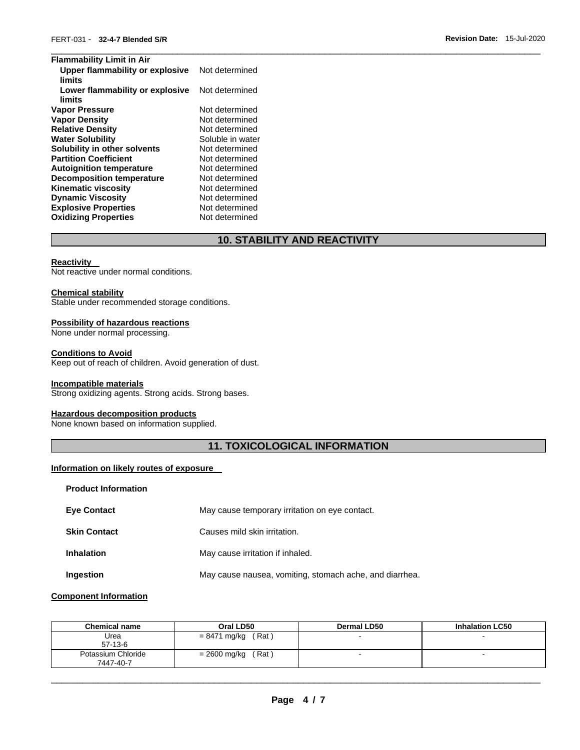| <b>Flammability Limit in Air</b>          |                  |
|-------------------------------------------|------------------|
| Upper flammability or explosive<br>limits | Not determined   |
| Lower flammability or explosive<br>limits | Not determined   |
| <b>Vapor Pressure</b>                     | Not determined   |
| <b>Vapor Density</b>                      | Not determined   |
| <b>Relative Density</b>                   | Not determined   |
| <b>Water Solubility</b>                   | Soluble in water |
| Solubility in other solvents              | Not determined   |
| <b>Partition Coefficient</b>              | Not determined   |
| <b>Autoignition temperature</b>           | Not determined   |
| <b>Decomposition temperature</b>          | Not determined   |
| <b>Kinematic viscosity</b>                | Not determined   |
| <b>Dynamic Viscosity</b>                  | Not determined   |
| <b>Explosive Properties</b>               | Not determined   |
| <b>Oxidizing Properties</b>               | Not determined   |

# **10. STABILITY AND REACTIVITY**

#### **Reactivity**

Not reactive under normal conditions.

#### **Chemical stability**

Stable under recommended storage conditions.

## **Possibility of hazardous reactions**

None under normal processing.

## **Conditions to Avoid**

Keep out of reach of children. Avoid generation of dust.

# **Incompatible materials**

Strong oxidizing agents. Strong acids. Strong bases.

#### **Hazardous decomposition products**

None known based on information supplied.

# **11. TOXICOLOGICAL INFORMATION**

# **Information on likely routes of exposure**

| <b>Product Information</b> |                                                         |
|----------------------------|---------------------------------------------------------|
| <b>Eye Contact</b>         | May cause temporary irritation on eye contact.          |
| <b>Skin Contact</b>        | Causes mild skin irritation.                            |
| <b>Inhalation</b>          | May cause irritation if inhaled.                        |
| Ingestion                  | May cause nausea, vomiting, stomach ache, and diarrhea. |

## **Component Information**

| <b>Chemical name</b>            | Oral LD50             | <b>Dermal LD50</b> | <b>Inhalation LC50</b> |
|---------------------------------|-----------------------|--------------------|------------------------|
| Urea<br>$57-13-6$               | $= 8471$ mg/kg (Rat)  |                    |                        |
| Potassium Chloride<br>7447-40-7 | (Rat)<br>= 2600 mg/kg |                    |                        |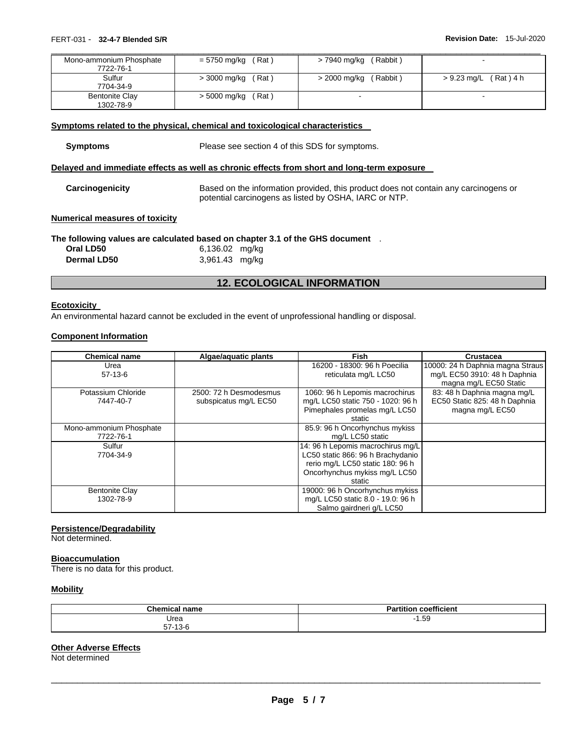| Mono-ammonium Phosphate<br>7722-76-1 | $= 5750$ mg/kg (Rat)  | (Rabbit)<br>> 7940 mg/kg |                         |
|--------------------------------------|-----------------------|--------------------------|-------------------------|
| Sulfur<br>7704-34-9                  | $>$ 3000 mg/kg (Rat)  | (Rabbit)<br>> 2000 mg/kg | (Rat)4 h<br>> 9.23 mg/L |
| <b>Bentonite Clay</b><br>1302-78-9   | (Rat)<br>> 5000 mg/kg | -                        | -                       |

#### **Symptoms related to the physical, chemical and toxicological characteristics**

Please see section 4 of this SDS for symptoms.

## **Delayed and immediate effects as well as chronic effects from short and long-term exposure**

| Carcinogenicity | Based on the information provided, this product does not contain any carcinogens or |
|-----------------|-------------------------------------------------------------------------------------|
|                 | potential carcinogens as listed by OSHA, IARC or NTP.                               |

## **Numerical measures of toxicity**

# **The following values are calculated based on chapter 3.1 of the GHS document** .

| Oral LD50          | 6,136.02 mg/kg |  |
|--------------------|----------------|--|
| <b>Dermal LD50</b> | 3,961.43 mg/kg |  |

# **12. ECOLOGICAL INFORMATION**

#### **Ecotoxicity**

An environmental hazard cannot be excluded in the event of unprofessional handling or disposal.

#### **Component Information**

| <b>Chemical name</b>    | Algae/aguatic plants   | <b>Fish</b>                       | <b>Crustacea</b>                 |
|-------------------------|------------------------|-----------------------------------|----------------------------------|
| Urea                    |                        | 16200 - 18300: 96 h Poecilia      | 10000: 24 h Daphnia magna Straus |
| $57-13-6$               |                        | reticulata mg/L LC50              | mg/L EC50 3910: 48 h Daphnia     |
|                         |                        |                                   | magna mg/L EC50 Static           |
| Potassium Chloride      | 2500: 72 h Desmodesmus | 1060: 96 h Lepomis macrochirus    | 83: 48 h Daphnia magna mg/L      |
| 7447-40-7               | subspicatus mg/L EC50  | mg/L LC50 static 750 - 1020: 96 h | EC50 Static 825: 48 h Daphnia    |
|                         |                        | Pimephales promelas mg/L LC50     | magna mg/L EC50                  |
|                         |                        | static                            |                                  |
| Mono-ammonium Phosphate |                        | 85.9: 96 h Oncorhynchus mykiss    |                                  |
| 7722-76-1               |                        | mg/L LC50 static                  |                                  |
| Sulfur                  |                        | 14: 96 h Lepomis macrochirus mg/L |                                  |
| 7704-34-9               |                        | LC50 static 866: 96 h Brachydanio |                                  |
|                         |                        | rerio mg/L LC50 static 180: 96 h  |                                  |
|                         |                        | Oncorhynchus mykiss mg/L LC50     |                                  |
|                         |                        | static                            |                                  |
| <b>Bentonite Clay</b>   |                        | 19000: 96 h Oncorhynchus mykiss   |                                  |
| 1302-78-9               |                        | mg/L LC50 static 8.0 - 19.0: 96 h |                                  |
|                         |                        | Salmo gairdneri g/L LC50          |                                  |

#### **Persistence/Degradability**

Not determined.

## **Bioaccumulation**

There is no data for this product.

#### **Mobility**

| <b>Chemical</b><br>name                  | coefficient<br>artitior<br><u>. эм</u> |
|------------------------------------------|----------------------------------------|
| Urea                                     | 1.59<br>. .                            |
| --<br>$\overline{10}$<br>57 I J C<br>. . |                                        |

## **Other Adverse Effects**

Not determined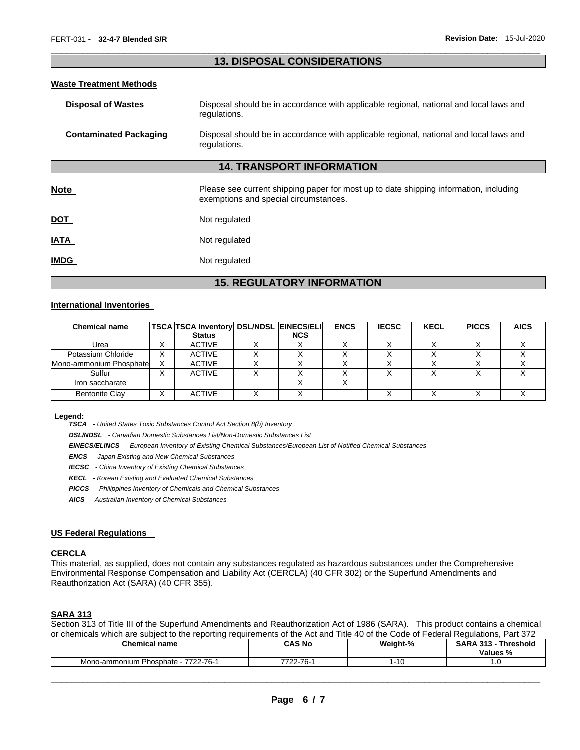## \_\_\_\_\_\_\_\_\_\_\_\_\_\_\_\_\_\_\_\_\_\_\_\_\_\_\_\_\_\_\_\_\_\_\_\_\_\_\_\_\_\_\_\_\_\_\_\_\_\_\_\_\_\_\_\_\_\_\_\_\_\_\_\_\_\_\_\_\_\_\_\_\_\_\_\_\_\_\_\_\_\_\_\_\_\_\_\_\_\_\_\_\_ **13. DISPOSAL CONSIDERATIONS**

#### **Waste Treatment Methods**

| <b>Disposal of Wastes</b>     | Disposal should be in accordance with applicable regional, national and local laws and<br>regulations.                         |
|-------------------------------|--------------------------------------------------------------------------------------------------------------------------------|
| <b>Contaminated Packaging</b> | Disposal should be in accordance with applicable regional, national and local laws and<br>regulations.                         |
|                               | <b>14. TRANSPORT INFORMATION</b>                                                                                               |
| <b>Note</b>                   | Please see current shipping paper for most up to date shipping information, including<br>exemptions and special circumstances. |
| DOT                           | Not regulated                                                                                                                  |
| IATA                          | Not regulated                                                                                                                  |
| <b>IMDG</b>                   | Not regulated                                                                                                                  |

# **15. REGULATORY INFORMATION**

## **International Inventories**

| <b>Chemical name</b>    |   | TSCA TSCA Inventory DSL/NDSL EINECS/ELI |            | <b>ENCS</b> | <b>IECSC</b> | <b>KECL</b> | <b>PICCS</b> | <b>AICS</b> |
|-------------------------|---|-----------------------------------------|------------|-------------|--------------|-------------|--------------|-------------|
|                         |   | <b>Status</b>                           | <b>NCS</b> |             |              |             |              |             |
| Urea                    | ⌒ | <b>ACTIVE</b>                           |            |             |              |             |              |             |
| Potassium Chloride      | ⌒ | <b>ACTIVE</b>                           |            |             |              |             |              |             |
| Mono-ammonium Phosphate |   | <b>ACTIVE</b>                           |            |             |              |             |              |             |
| Sulfur                  |   | <b>ACTIVE</b>                           |            |             |              |             |              |             |
| Iron saccharate         |   |                                         |            |             |              |             |              |             |
| <b>Bentonite Clay</b>   |   | <b>ACTIVE</b>                           |            |             |              |             |              |             |

#### **Legend:**

*TSCA - United States Toxic Substances Control Act Section 8(b) Inventory* 

*DSL/NDSL - Canadian Domestic Substances List/Non-Domestic Substances List* 

*EINECS/ELINCS - European Inventory of Existing Chemical Substances/European List of Notified Chemical Substances* 

*ENCS - Japan Existing and New Chemical Substances* 

*IECSC - China Inventory of Existing Chemical Substances* 

*KECL - Korean Existing and Evaluated Chemical Substances* 

*PICCS - Philippines Inventory of Chemicals and Chemical Substances* 

*AICS - Australian Inventory of Chemical Substances* 

#### **US Federal Regulations**

#### **CERCLA**

This material, as supplied, does not contain any substances regulated as hazardous substances under the Comprehensive Environmental Response Compensation and Liability Act (CERCLA) (40 CFR 302) or the Superfund Amendments and Reauthorization Act (SARA) (40 CFR 355).

## **SARA 313**

Section 313 of Title III of the Superfund Amendments and Reauthorization Act of 1986 (SARA). This product contains a chemical or chemicals which are subject to the reporting requirements of the Act and Title 40 of the Code of Federal Regulations, Part 372

| <b>Chemical name</b>                   | CAS No          | Weight-% | <b>Threshold</b><br><b>SARA</b><br>242<br>Values % |
|----------------------------------------|-----------------|----------|----------------------------------------------------|
| 7722-76-1<br>Mono-ammonium Phosphate - | 22-76-1<br>7700 | 1-10     | . . U                                              |